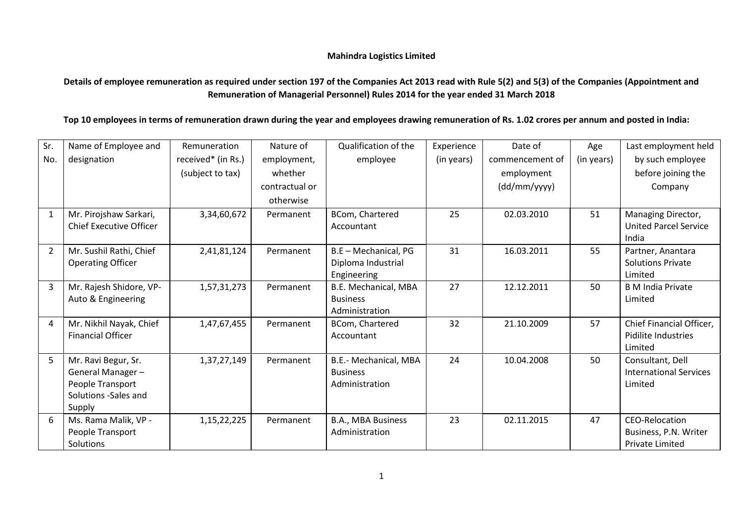## **Mahindra Logistics Limited**

**Details of employee remuneration as required under section 197 of the Companies Act 2013 read with Rule 5(2) and 5(3) of the Companies (Appointment and Remuneration of Managerial Personnel) Rules 2014 for the year ended 31 March 2018**

**Top 10 employees in terms of remuneration drawn during the year and employees drawing remuneration of Rs. 1.02 crores per annum and posted in India:**

| Sr.            | Name of Employee and                                     | Remuneration       | Nature of      | Qualification of the          | Experience | Date of         | Age        | Last employment held                               |
|----------------|----------------------------------------------------------|--------------------|----------------|-------------------------------|------------|-----------------|------------|----------------------------------------------------|
| No.            | designation                                              | received* (in Rs.) | employment,    | employee                      | (in years) | commencement of | (in years) | by such employee                                   |
|                |                                                          | (subject to tax)   | whether        |                               |            | employment      |            | before joining the                                 |
|                |                                                          |                    | contractual or |                               |            | (dd/mm/yyyy)    |            | Company                                            |
|                |                                                          |                    | otherwise      |                               |            |                 |            |                                                    |
| $\mathbf{1}$   | Mr. Pirojshaw Sarkari,<br><b>Chief Executive Officer</b> | 3,34,60,672        | Permanent      | BCom, Chartered<br>Accountant | 25         | 02.03.2010      | 51         | Managing Director,<br><b>United Parcel Service</b> |
|                |                                                          |                    |                |                               |            |                 |            | India                                              |
| $\overline{2}$ | Mr. Sushil Rathi, Chief                                  | 2,41,81,124        | Permanent      | B.E - Mechanical, PG          | 31         | 16.03.2011      | 55         | Partner, Anantara                                  |
|                | <b>Operating Officer</b>                                 |                    |                | Diploma Industrial            |            |                 |            | <b>Solutions Private</b>                           |
|                |                                                          |                    |                | Engineering                   |            |                 |            | Limited                                            |
| 3              | Mr. Rajesh Shidore, VP-                                  | 1,57,31,273        | Permanent      | B.E. Mechanical, MBA          | 27         | 12.12.2011      | 50         | <b>B</b> M India Private                           |
|                | Auto & Engineering                                       |                    |                | <b>Business</b>               |            |                 |            | Limited                                            |
|                |                                                          |                    |                | Administration                |            |                 |            |                                                    |
| 4              | Mr. Nikhil Nayak, Chief                                  | 1,47,67,455        | Permanent      | BCom, Chartered               | 32         | 21.10.2009      | 57         | Chief Financial Officer,                           |
|                | <b>Financial Officer</b>                                 |                    |                | Accountant                    |            |                 |            | Pidilite Industries                                |
|                |                                                          |                    |                |                               |            |                 |            | Limited                                            |
| $\overline{5}$ | Mr. Ravi Begur, Sr.                                      | 1,37,27,149        | Permanent      | B.E.- Mechanical, MBA         | 24         | 10.04.2008      | 50         | Consultant, Dell                                   |
|                | General Manager-                                         |                    |                | <b>Business</b>               |            |                 |            | <b>International Services</b>                      |
|                | People Transport                                         |                    |                | Administration                |            |                 |            | Limited                                            |
|                | Solutions -Sales and                                     |                    |                |                               |            |                 |            |                                                    |
|                | Supply                                                   |                    |                |                               |            |                 |            |                                                    |
| 6              | Ms. Rama Malik, VP -                                     | 1, 15, 22, 225     | Permanent      | B.A., MBA Business            | 23         | 02.11.2015      | 47         | CEO-Relocation                                     |
|                | People Transport                                         |                    |                | Administration                |            |                 |            | Business, P.N. Writer                              |
|                | Solutions                                                |                    |                |                               |            |                 |            | <b>Private Limited</b>                             |